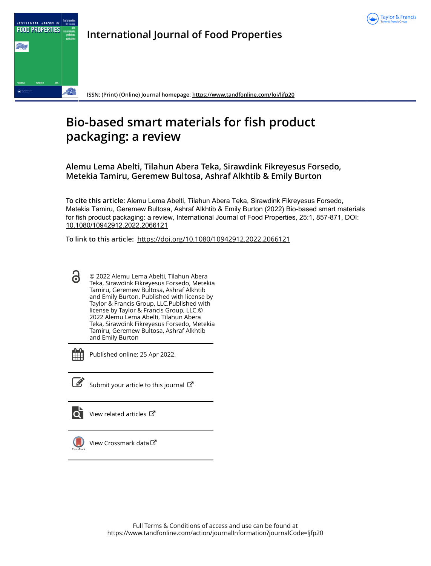



**International Journal of Food Properties**

**ISSN: (Print) (Online) Journal homepage:<https://www.tandfonline.com/loi/ljfp20>**

# **Bio-based smart materials for fish product packaging: a review**

**Alemu Lema Abelti, Tilahun Abera Teka, Sirawdink Fikreyesus Forsedo, Metekia Tamiru, Geremew Bultosa, Ashraf Alkhtib & Emily Burton**

**To cite this article:** Alemu Lema Abelti, Tilahun Abera Teka, Sirawdink Fikreyesus Forsedo, Metekia Tamiru, Geremew Bultosa, Ashraf Alkhtib & Emily Burton (2022) Bio-based smart materials for fish product packaging: a review, International Journal of Food Properties, 25:1, 857-871, DOI: [10.1080/10942912.2022.2066121](https://www.tandfonline.com/action/showCitFormats?doi=10.1080/10942912.2022.2066121)

**To link to this article:** <https://doi.org/10.1080/10942912.2022.2066121>

© 2022 Alemu Lema Abelti, Tilahun Abera 6 Teka, Sirawdink Fikreyesus Forsedo, Metekia Tamiru, Geremew Bultosa, Ashraf Alkhtib and Emily Burton. Published with license by Taylor & Francis Group, LLC.Published with license by Taylor & Francis Group, LLC.© 2022 Alemu Lema Abelti, Tilahun Abera Teka, Sirawdink Fikreyesus Forsedo, Metekia Tamiru, Geremew Bultosa, Ashraf Alkhtib and Emily Burton



Published online: 25 Apr 2022.



 $\overline{\mathscr{L}}$  [Submit your article to this journal](https://www.tandfonline.com/action/authorSubmission?journalCode=ljfp20&show=instructions)  $\mathbb{Z}$ 



View related articles



[View Crossmark data](http://crossmark.crossref.org/dialog/?doi=10.1080/10942912.2022.2066121&domain=pdf&date_stamp=2022-04-25)<sup>C</sup>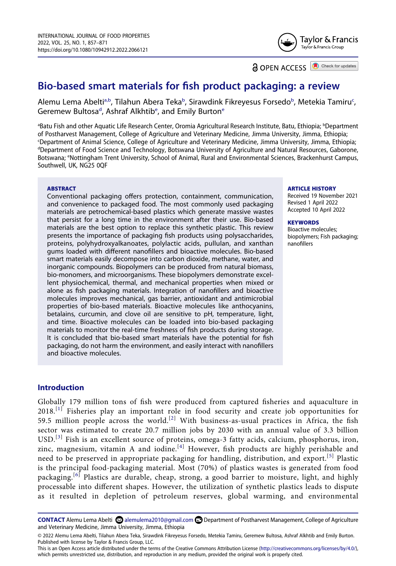

**a** OPEN ACCESS **a** Check for updates

## **Bio-based smart materials for fish product packaging: a review**

Alemu Lema Abelti<sup>[a,b](#page-1-0)</sup>, Tilahun A[b](#page-1-0)era Teka<sup>b</sup>, Sirawdink Fikreyesus Forsedo<sup>b</sup>, Metekia Tamiru<sup>[c](#page-1-1)</sup>, Geremew Bultosa<sup>[d](#page-1-2)</sup>, Ashraf Alkhtib<sup>e</sup>, and Emily Burton<sup>e</sup>

<span id="page-1-3"></span><span id="page-1-2"></span><span id="page-1-1"></span><span id="page-1-0"></span><sup>a</sup>Batu Fish and other Aquatic Life Research Center, Oromia Agricultural Research Institute, Batu, Ethiopia; <sup>b</sup>Department of Postharvest Management, College of Agriculture and Veterinary Medicine, Jimma University, Jimma, Ethiopia;<br>Denartment of Animal Science, College of Agriculture and Veterinary Medicine, Jimma University, Jimma, Ethiop Department of Animal Science, College of Agriculture and Veterinary Medicine, Jimma University, Jimma, Ethiopia;<br><sup>d</sup>Department of Food Science and Technology, Botswana University of Agriculture and Natural Resources, Gabor <sup>d</sup>Department of Food Science and Technology, Botswana University of Agriculture and Natural Resources, Gaborone, Botswana; e Nottingham Trent University, School of Animal, Rural and Environmental Sciences, Brackenhurst Campus, Southwell, UK, NG25 0QF

#### **ABSTRACT**

Conventional packaging offers protection, containment, communication, and convenience to packaged food. The most commonly used packaging materials are petrochemical-based plastics which generate massive wastes that persist for a long time in the environment after their use. Bio-based materials are the best option to replace this synthetic plastic. This review presents the importance of packaging fish products using polysaccharides, proteins, polyhydroxyalkanoates, polylactic acids, pullulan, and xanthan gums loaded with different nanofillers and bioactive molecules. Bio-based smart materials easily decompose into carbon dioxide, methane, water, and inorganic compounds. Biopolymers can be produced from natural biomass, bio-monomers, and microorganisms. These biopolymers demonstrate excellent physiochemical, thermal, and mechanical properties when mixed or alone as fish packaging materials. Integration of nanofillers and bioactive molecules improves mechanical, gas barrier, antioxidant and antimicrobial properties of bio-based materials. Bioactive molecules like anthocyanins, betalains, curcumin, and clove oil are sensitive to pH, temperature, light, and time. Bioactive molecules can be loaded into bio-based packaging materials to monitor the real-time freshness of fish products during storage. It is concluded that bio-based smart materials have the potential for fish packaging, do not harm the environment, and easily interact with nanofillers and bioactive molecules.

#### **ARTICLE HISTORY**

Received 19 November 2021 Revised 1 April 2022 Accepted 10 April 2022

#### **KEYWORDS**

Bioactive molecules; biopolymers; Fish packaging; nanofillers

## **Introduction**

<span id="page-1-5"></span><span id="page-1-4"></span>Globally 179 million tons of fish were produced from captured fisheries and aquaculture in 2018.<sup>[\[1](#page-10-0)]</sup> Fisheries play an important role in food security and create job opportunities for 59.5 million people across the world.<sup>[\[2](#page-10-1)]</sup> With business-as-usual practices in Africa, the fish sector was estimated to create 20.7 million jobs by 2030 with an annual value of 3.3 billion USD.<sup>[\[3](#page-10-2)]</sup> Fish is an excellent source of proteins, omega-3 fatty acids, calcium, phosphorus, iron, zinc, magnesium, vitamin A and iodine.<sup>[[4\]](#page-10-3)</sup> However, fish products are highly perishable and need to be preserved in appropriate packaging for handling, distribution, and export.<sup>[[5](#page-10-4)]</sup> Plastic is the principal food-packaging material. Most (70%) of plastics wastes is generated from food packaging.<sup>[[6\]](#page-10-5)</sup> Plastics are durable, cheap, strong, a good barrier to moisture, light, and highly processable into different shapes. However, the utilization of synthetic plastics leads to dispute as it resulted in depletion of petroleum reserves, global warming, and environmental

<span id="page-1-6"></span>CONTACT Alemu Lema Abelti **2** alemulema2010@gmail.com **□** Department of Postharvest Management, College of Agriculture and Veterinary Medicine, Jimma University, Jimma, Ethiopia

© 2022 Alemu Lema Abelti, Tilahun Abera Teka, Sirawdink Fikreyesus Forsedo, Metekia Tamiru, Geremew Bultosa, Ashraf Alkhtib and Emily Burton. Published with license by Taylor & Francis Group, LLC.

This is an Open Access article distributed under the terms of the Creative Commons Attribution License (http://creativecommons.org/licenses/by/4.0/), which permits unrestricted use, distribution, and reproduction in any medium, provided the original work is properly cited.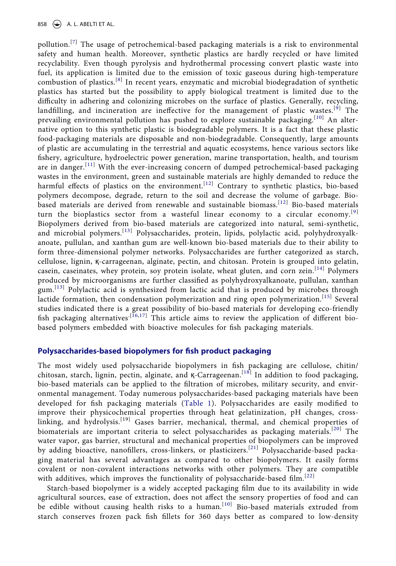<span id="page-2-0"></span>pollution.<sup>[[7\]](#page-10-6)</sup> The usage of petrochemical-based packaging materials is a risk to environmental safety and human health. Moreover, synthetic plastics are hardly recycled or have limited recyclability. Even though pyrolysis and hydrothermal processing convert plastic waste into fuel, its application is limited due to the emission of toxic gaseous during high-temperature combustion of plastics.[[8](#page-10-7)] In recent years, enzymatic and microbial biodegradation of synthetic plastics has started but the possibility to apply biological treatment is limited due to the difficulty in adhering and colonizing microbes on the surface of plastics. Generally, recycling, landfilling, and incineration are ineffective for the management of plastic wastes.<sup>[[9](#page-10-8)]</sup> The prevailing environmental pollution has pushed to explore sustainable packaging.<sup>[[10\]](#page-10-9)</sup> An alternative option to this synthetic plastic is biodegradable polymers. It is a fact that these plastic food-packaging materials are disposable and non-biodegradable. Consequently, large amounts of plastic are accumulating in the terrestrial and aquatic ecosystems, hence various sectors like fishery, agriculture, hydroelectric power generation, marine transportation, health, and tourism are in danger.<sup>[[11](#page-10-10)]</sup> With the ever-increasing concern of dumped petrochemical-based packaging wastes in the environment, green and sustainable materials are highly demanded to reduce the harmful effects of plastics on the environment.<sup>[\[12](#page-10-11)]</sup> Contrary to synthetic plastics, bio-based polymers decompose, degrade, return to the soil and decrease the volume of garbage. Bio-based materials are derived from renewable and sustainable biomass.<sup>[\[12\]](#page-10-11)</sup> Bio-based materials turn the bioplastics sector from a wasteful linear economy to a circular economy.<sup>[\[9](#page-10-8)]</sup> Biopolymers derived from bio-based materials are categorized into natural, semi-synthetic, and microbial polymers.[[13\]](#page-10-12) Polysaccharides, protein, lipids, polylactic acid, polyhydroxyalkanoate, pullulan, and xanthan gum are well-known bio-based materials due to their ability to form three-dimensional polymer networks. Polysaccharides are further categorized as starch, cellulose, lignin, қ-carrageenan, alginate, pectin, and chitosan. Protein is grouped into gelatin, casein, caseinates, whey protein, soy protein isolate, wheat gluten, and corn zein.<sup>[[14](#page-10-13)]</sup> Polymers produced by microorganisms are further classified as polyhydroxyalkanoate, pullulan, xanthan gum.<sup>[[13\]](#page-10-12)</sup> Polylactic acid is synthesized from lactic acid that is produced by microbes through lactide formation, then condensation polymerization and ring open polymerization.<sup>[\[15\]](#page-10-14)</sup> Several studies indicated there is a great possibility of bio-based materials for developing eco-friendly fish packaging alternatives<sup> $[16,17]$  $[16,17]$  $[16,17]$ </sup> This article aims to review the application of different biobased polymers embedded with bioactive molecules for fish packaging materials.

## <span id="page-2-3"></span><span id="page-2-2"></span><span id="page-2-1"></span>**Polysaccharides-based biopolymers for fish product packaging**

The most widely used polysaccharide biopolymers in fish packaging are cellulose, chitin/ chitosan, starch, lignin, pectin, alginate, and  $K$ -Carrageenan.<sup>[[18\]](#page-10-17)</sup> In addition to food packaging, bio-based materials can be applied to the filtration of microbes, military security, and environmental management. Today numerous polysaccharides-based packaging materials have been developed for fish packaging materials ([Table 1](#page-3-0)). Polysaccharides are easily modified to improve their physicochemical properties through heat gelatinization, pH changes, crosslinking, and hydrolysis.<sup>[19]</sup> Gases barrier, mechanical, thermal, and chemical properties of biomaterials are important criteria to select polysaccharides as packaging materials.<sup>[\[20](#page-11-0)]</sup> The water vapor, gas barrier, structural and mechanical properties of biopolymers can be improved by adding bioactive, nanofillers, cross-linkers, or plasticizers.<sup>[[21](#page-11-1)]</sup> Polysaccharide-based packaging material has several advantages as compared to other biopolymers. It easily forms covalent or non-covalent interactions networks with other polymers. They are compatible with additives, which improves the functionality of polysaccharide-based film.<sup>[\[22\]](#page-11-2)</sup>

<span id="page-2-4"></span>Starch-based biopolymer is a widely accepted packaging film due to its availability in wide agricultural sources, ease of extraction, does not affect the sensory properties of food and can be edible without causing health risks to a human.<sup>[\[10\]](#page-10-9)</sup> Bio-based materials extruded from starch conserves frozen pack fish fillets for 360 days better as compared to low-density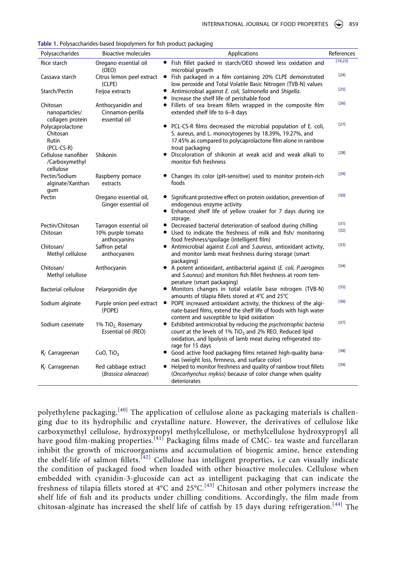<span id="page-3-6"></span><span id="page-3-5"></span><span id="page-3-4"></span><span id="page-3-3"></span><span id="page-3-2"></span><span id="page-3-1"></span>

| Polysaccharides                                       | Bioactive molecules                                         | Applications                                                                                                                                                                                                                    | References     |
|-------------------------------------------------------|-------------------------------------------------------------|---------------------------------------------------------------------------------------------------------------------------------------------------------------------------------------------------------------------------------|----------------|
| Rice starch                                           | Oregano essential oil<br>(OEO)                              | • Fish fillet packed in starch/OEO showed less oxidation and<br>microbial growth                                                                                                                                                | [19,23]        |
| Cassava starch                                        | Citrus lemon peel extract<br>(CLPE)                         | • Fish packaged in a film containing 20% CLPE demonstrated<br>low peroxide and Total Volatile Basic Nitrogen (TVB-N) values                                                                                                     | $[24]$         |
| Starch/Pectin                                         | Feijoa extracts                                             | • Antimicrobial against E. coli, Salmonella and Shigella.<br>Increase the shelf life of perishable food                                                                                                                         | $[25]$         |
| Chitosan<br>nanoparticles/<br>collagen protein        | Anthocyanidin and<br>Cinnamon-perilla<br>essential oil      | • Fillets of sea bream fillets wrapped in the composite film<br>extended shelf life to 6-8 days                                                                                                                                 | $[26]$         |
| Polycaprolactone<br>Chitosan<br>Rutin<br>$(PCL-CS-R)$ |                                                             | PCL-CS-R films decreased the microbial population of E. coli,<br>$\bullet$<br>S. aureus, and L. monocytogenes by 18.39%, 19.27%, and<br>17.45% as compared to polycaprolactone film alone in rainbow<br>trout packaging         | $[27]$         |
| Cellulose nanofiber<br>/Carboxymethyl<br>cellulose    | <b>Shikonin</b>                                             | Discoloration of shikonin at weak acid and weak alkali to<br>monitor fish freshness                                                                                                                                             | $[28]$         |
| Pectin/Sodium<br>alginate/Xanthan<br>qum              | Raspberry pomace<br>extracts                                | • Changes its color (pH-sensitive) used to monitor protein-rich<br>foods                                                                                                                                                        | $[29]$         |
| Pectin                                                | Oregano essential oil,<br>Ginger essential oil              | Significant protective effect on protein oxidation, prevention of<br>endogenous enzyme activity<br>• Enhanced shelf life of yellow croaker for 7 days during ice<br>storage.                                                    | $[30]$         |
| Pectin/Chitosan<br>Chitosan                           | Tarragon essential oil<br>10% purple tomato<br>anthocyanins | Decreased bacterial deterioration of seafood during chilling<br>٠<br>Used to indicate the freshness of milk and fish/ monitoring<br>$\bullet$<br>food freshness/spoilage (intelligent film)                                     | [31]<br>$[32]$ |
| Chitosan/<br>Methyl cellulose                         | Saffron petal<br>anthocyanins                               | • Antimicrobial against <i>E.coli</i> and <i>S.aureus</i> , antioxidant activity,<br>and monitor lamb meat freshness during storage (smart<br>packaging)                                                                        | $[33]$         |
| Chitosan/<br>Methyl celullose                         | Anthocyanin                                                 | • A potent antioxidant, antibacterial against (E. coli, P.aeroginos<br>and S.aureus) and monitors fish fillet freshness at room tem-<br>perature (smart packaging)                                                              | $[34]$         |
| <b>Bacterial cellulose</b>                            | Pelargonidin dye                                            | • Monitors changes in total volatile base nitrogen (TVB-N)<br>amounts of tilapia fillets stored at 4°C and 25°C                                                                                                                 | $[35]$         |
| Sodium alginate                                       | Purple onion peel extract<br>(POPE)                         | • POPE increased antioxidant activity, the thickness of the algi-<br>nate-based films, extend the shelf life of foods with high water<br>content and susceptible to lipid oxidation                                             | $[36]$         |
| Sodium caseinate                                      | 1% TiO <sub>2</sub> Rosemary<br>Essential oil (REO)         | • Exhibited antimicrobial by reducing the psychrotrophic bacteria<br>count at the levels of 1% TiO <sub>2</sub> and 2% REO. Reduced lipid<br>oxidation, and lipolysis of lamb meat during refrigerated sto-<br>rage for 15 days | $[37]$         |
| K- Carrageenan                                        | CuO, TiO <sub>2</sub>                                       | • Good active food packaging films retained high-quality bana-<br>nas (weight loss, firmness, and surface color)                                                                                                                | $[38]$         |
| K- Carrageenan                                        | Red cabbage extract<br>(Brassica oleraceae)                 | Helped to monitor freshness and quality of rainbow trout fillets<br>(Oncorhynchus mykiss) because of color change when quality<br>deteriorates                                                                                  | $[39]$         |

<span id="page-3-0"></span>

| Table 1. Polysaccharides-based biopolymers for fish product packaging |  |  |
|-----------------------------------------------------------------------|--|--|
|                                                                       |  |  |

<span id="page-3-15"></span><span id="page-3-14"></span><span id="page-3-13"></span><span id="page-3-12"></span><span id="page-3-11"></span><span id="page-3-10"></span><span id="page-3-9"></span><span id="page-3-8"></span><span id="page-3-7"></span>polyethylene packaging.<sup>[[40](#page-11-3)]</sup> The application of cellulose alone as packaging materials is challenging due to its hydrophilic and crystalline nature. However, the derivatives of cellulose like carboxymethyl cellulose, hydroxypropyl methylcellulose, or methylcellulose hydroxypropyl all have good film-making properties.<sup>[\[41\]](#page-12-0)</sup> Packaging films made of CMC- tea waste and furcellaran inhibit the growth of microorganisms and accumulation of biogenic amine, hence extending the shelf-life of salmon fillets.<sup>[[42](#page-12-1)]</sup> Cellulose has intelligent properties, i.e can visually indicate the condition of packaged food when loaded with other bioactive molecules. Cellulose when embedded with cyanidin-3-glucoside can act as intelligent packaging that can indicate the freshness of tilapia fillets stored at 4°C and 25°C.<sup>[[43](#page-12-2)]</sup> Chitosan and other polymers increase the shelf life of fish and its products under chilling conditions. Accordingly, the film made from chitosan-alginate has increased the shelf life of catfish by 15 days during refrigeration.<sup>[[44](#page-12-3)]</sup> The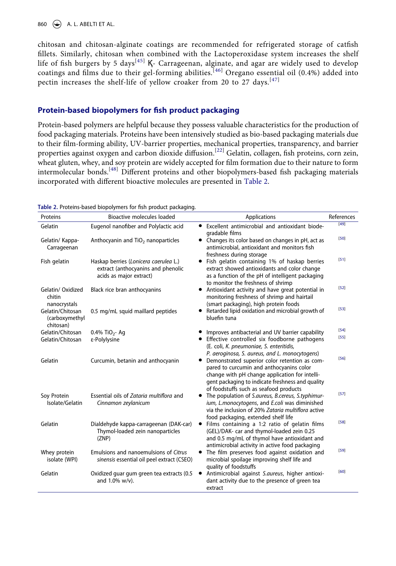860 **A. L. ABELTI ET AL.** 

<span id="page-4-2"></span><span id="page-4-1"></span>chitosan and chitosan-alginate coatings are recommended for refrigerated storage of catfish fillets. Similarly, chitosan when combined with the Lactoperoxidase system increases the shelf life of fish burgers by 5 days<sup>[\[45\]](#page-12-4)</sup>  $K$ - Carrageenan, alginate, and agar are widely used to develop coatings and films due to their gel-forming abilities.<sup>[\[46](#page-12-5)]</sup> Oregano essential oil (0.4%) added into pectin increases the shelf-life of yellow croaker from 20 to 27 days.<sup>[[47](#page-12-6)]</sup>

## <span id="page-4-3"></span>**Protein-based biopolymers for fish product packaging**

Protein-based polymers are helpful because they possess valuable characteristics for the production of food packaging materials. Proteins have been intensively studied as bio-based packaging materials due to their film-forming ability, UV-barrier properties, mechanical properties, transparency, and barrier properties against oxygen and carbon dioxide diffusion.<sup>[[22\]](#page-11-2)</sup> Gelatin, collagen, fish proteins, corn zein, wheat gluten, whey, and soy protein are widely accepted for film formation due to their nature to form intermolecular bonds.[[48\]](#page-12-7) Different proteins and other biopolymers-based fish packaging materials incorporated with different bioactive molecules are presented in [Table 2.](#page-4-0)

<span id="page-4-10"></span><span id="page-4-9"></span><span id="page-4-8"></span><span id="page-4-7"></span><span id="page-4-6"></span><span id="page-4-5"></span><span id="page-4-4"></span>

| Proteins                                        | <b>Bioactive molecules loaded</b>                                                                      | Applications                                                                                                                                                                                                                                | References |
|-------------------------------------------------|--------------------------------------------------------------------------------------------------------|---------------------------------------------------------------------------------------------------------------------------------------------------------------------------------------------------------------------------------------------|------------|
| Gelatin                                         | Eugenol nanofiber and Polylactic acid                                                                  | • Excellent antimicrobial and antioxidant biode-<br>gradable films                                                                                                                                                                          | $[49]$     |
| Gelatin/ Kappa-<br>Carrageenan                  | Anthocyanin and TiO <sub>2</sub> nanoparticles                                                         | • Changes its color based on changes in pH, act as<br>antimicrobial, antioxidant and monitors fish<br>freshness during storage                                                                                                              | $[50]$     |
| Fish gelatin                                    | Haskap berries (Lonicera caerulea L.)<br>extract (anthocyanins and phenolic<br>acids as major extract) | Fish gelatin containing 1% of haskap berries<br>٠<br>extract showed antioxidants and color change<br>as a function of the pH of intelligent packaging<br>to monitor the freshness of shrimp                                                 | $[51]$     |
| Gelatin/ Oxidized<br>chitin<br>nanocrystals     | Black rice bran anthocyanins                                                                           | Antioxidant activity and have great potential in<br>$\bullet$<br>monitoring freshness of shrimp and hairtail<br>(smart packaging), high protein foods                                                                                       | $[52]$     |
| Gelatin/Chitosan<br>(carboxymethyl<br>chitosan) | 0.5 mg/mL squid maillard peptides                                                                      | Retarded lipid oxidation and microbial growth of<br>bluefin tuna                                                                                                                                                                            | $[53]$     |
| Gelatin/Chitosan                                | 0.4% TiO <sub>2</sub> -Aq                                                                              | Improves antibacterial and UV barrier capability                                                                                                                                                                                            | $[54]$     |
| Gelatin/Chitosan                                | ε-Polylysine                                                                                           | • Effective controlled six foodborne pathogens<br>(E. coli, K. pneumoniae, S. enteritidis,<br>P. aeroginosa, S. aureus, and L. monocytogens)                                                                                                | $[55]$     |
| Gelatin                                         | Curcumin, betanin and anthocyanin                                                                      | • Demonstrated superior color retention as com-<br>pared to curcumin and anthocyanins color<br>change with pH change application for intelli-<br>gent packaging to indicate freshness and quality<br>of foodstuffs such as seafood products | $[56]$     |
| Soy Protein<br>Isolate/Gelatin                  | Essential oils of Zataria multiflora and<br>Cinnamon zeylanicum                                        | • The population of S.aureus, B.cereus, S.typhimur-<br>ium, L.monocytogens, and E.coli was diminished<br>via the inclusion of 20% Zataria multiflora active<br>food packaging, extended shelf life                                          | $[57]$     |
| Gelatin                                         | Dialdehyde kappa-carrageenan (DAK-car)<br>Thymol-loaded zein nanoparticles<br>(ZNP)                    | Films containing a 1:2 ratio of gelatin films<br>٠<br>(GEL)/DAK- car and thymol-loaded zein 0.25<br>and 0.5 mg/mL of thymol have antioxidant and<br>antimicrobial activity in active food packaging                                         | $[58]$     |
| Whey protein<br>isolate (WPI)                   | Emulsions and nanoemulsions of Citrus<br>sinensis essential oil peel extract (CSEO)                    | The film preserves food against oxidation and<br>٠<br>microbial spoilage improving shelf life and<br>quality of foodstuffs                                                                                                                  | $[59]$     |
| Gelatin                                         | Oxidized guar gum green tea extracts (0.5<br>and 1.0% w/v).                                            | Antimicrobial against S.aureus, higher antioxi-<br>dant activity due to the presence of green tea<br>extract                                                                                                                                | [60]       |

<span id="page-4-0"></span>**Table 2.** Proteins-based biopolymers for fish product packaging.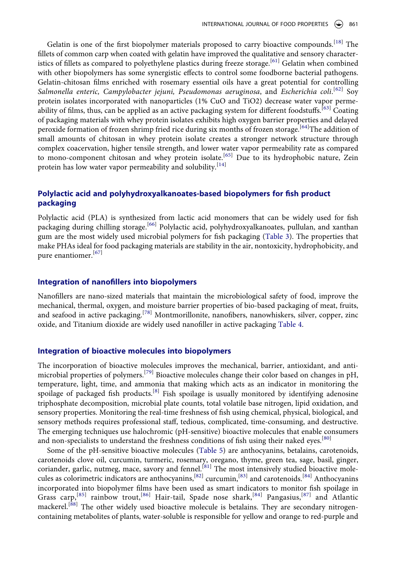<span id="page-5-1"></span><span id="page-5-0"></span>Gelatin is one of the first biopolymer materials proposed to carry bioactive compounds.[[18](#page-10-17)] The fillets of common carp when coated with gelatin have improved the qualitative and sensory character-istics of fillets as compared to polyethylene plastics during freeze storage.<sup>[\[61\]](#page-13-0)</sup> Gelatin when combined with other biopolymers has some synergistic effects to control some foodborne bacterial pathogens. Gelatin-chitosan films enriched with rosemary essential oils have a great potential for controlling *Salmonella enteric, Campylobacter jejuni, Pseudomonas aeruginosa*, and *Escherichia coli*. [[62](#page-13-1)] Soy protein isolates incorporated with nanoparticles (1% CuO and TiO2) decrease water vapor perme-ability of films, thus, can be applied as an active packaging system for different foodstuffs.<sup>[[63\]](#page-13-2)</sup> Coating of packaging materials with whey protein isolates exhibits high oxygen barrier properties and delayed peroxide formation of frozen shrimp fried rice during six months of frozen storage.<sup>[[64](#page-13-3)]</sup>The addition of small amounts of chitosan in whey protein isolate creates a stronger network structure through complex coacervation, higher tensile strength, and lower water vapor permeability rate as compared to mono-component chitosan and whey protein isolate.<sup>[[65\]](#page-13-4)</sup> Due to its hydrophobic nature, Zein protein has low water vapor permeability and solubility.<sup>[\[14](#page-10-13)]</sup>

## <span id="page-5-3"></span><span id="page-5-2"></span>**Polylactic acid and polyhydroxyalkanoates-based biopolymers for fish product packaging**

<span id="page-5-4"></span>Polylactic acid (PLA) is synthesized from lactic acid monomers that can be widely used for fish packaging during chilling storage.<sup>[[66\]](#page-13-5)</sup> Polylactic acid, polyhydroxyalkanoates, pullulan, and xanthan gum are the most widely used microbial polymers for fish packaging ([Table 3](#page-6-0)). The properties that make PHAs ideal for food packaging materials are stability in the air, nontoxicity, hydrophobicity, and pure enantiomer.[[67\]](#page-13-6)

## **Integration of nanofillers into biopolymers**

<span id="page-5-5"></span>Nanofillers are nano-sized materials that maintain the microbiological safety of food, improve the mechanical, thermal, oxygen, and moisture barrier properties of bio-based packaging of meat, fruits, and seafood in active packaging.<sup>[[78\]](#page-13-7)</sup> Montmorillonite, nanofibers, nanowhiskers, silver, copper, zinc oxide, and Titanium dioxide are widely used nanofiller in active packaging [Table 4](#page-7-0).

#### **Integration of bioactive molecules into biopolymers**

<span id="page-5-6"></span>The incorporation of bioactive molecules improves the mechanical, barrier, antioxidant, and anti-microbial properties of polymers.<sup>[[79\]](#page-13-8)</sup> Bioactive molecules change their color based on changes in pH, temperature, light, time, and ammonia that making which acts as an indicator in monitoring the spoilage of packaged fish products.<sup>[[8](#page-10-7)]</sup> Fish spoilage is usually monitored by identifying adenosine triphosphate decomposition, microbial plate counts, total volatile base nitrogen, lipid oxidation, and sensory properties. Monitoring the real-time freshness of fish using chemical, physical, biological, and sensory methods requires professional staff, tedious, complicated, time-consuming, and destructive. The emerging techniques use halochromic (pH-sensitive) bioactive molecules that enable consumers and non-specialists to understand the freshness conditions of fish using their naked eyes.<sup>[\[80](#page-13-9)]</sup>

<span id="page-5-10"></span><span id="page-5-9"></span><span id="page-5-8"></span><span id="page-5-7"></span>Some of the pH-sensitive bioactive molecules [\(Table 5\)](#page-8-0) are anthocyanins, betalains, carotenoids, carotenoids clove oil, curcumin, turmeric, rosemary, oregano, thyme, green tea, sage, basil, ginger, coriander, garlic, nutmeg, mace, savory and fennel.<sup>[[81\]](#page-14-0)</sup> The most intensively studied bioactive molecules as colorimetric indicators are anthocyanins,[\[82\]](#page-14-1) curcumin,[[83\]](#page-14-2) and carotenoids.[\[84\]](#page-14-3) Anthocyanins incorporated into biopolymer films have been used as smart indicators to monitor fish spoilage in Grass carp,<sup>[[85\]](#page-14-4)</sup> rainbow trout,<sup>[[86](#page-14-5)]</sup> Hair-tail, Spade nose shark,<sup>[[84](#page-14-3)]</sup> Pangasius,<sup>[[87](#page-14-6)]</sup> and Atlantic mackerel.<sup>[\[88\]](#page-14-7)</sup> The other widely used bioactive molecule is betalains. They are secondary nitrogencontaining metabolites of plants, water-soluble is responsible for yellow and orange to red-purple and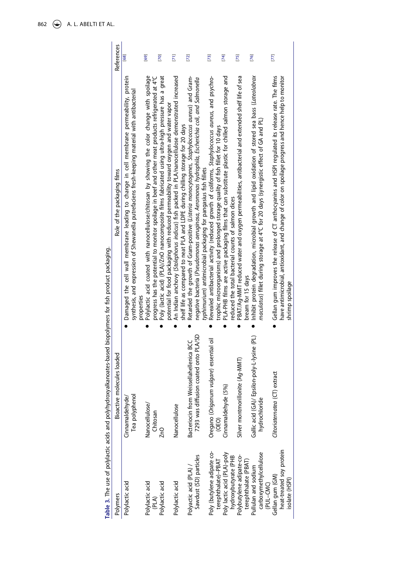<span id="page-6-7"></span><span id="page-6-6"></span><span id="page-6-5"></span><span id="page-6-4"></span><span id="page-6-3"></span><span id="page-6-2"></span><span id="page-6-1"></span><span id="page-6-0"></span>

|                                                               | Table 3. The use of polylactic acids and polyhydroxyalkanoates-based biopolymers for fish product packaging. |                                                                                                                                                                                                                                                                        |                   |
|---------------------------------------------------------------|--------------------------------------------------------------------------------------------------------------|------------------------------------------------------------------------------------------------------------------------------------------------------------------------------------------------------------------------------------------------------------------------|-------------------|
| Polymers                                                      | Bioactive molecules loaded                                                                                   | Role of the packaging films                                                                                                                                                                                                                                            | <b>References</b> |
| Polylactic acid                                               | Tea polyphenol<br>Cinnamaldehyde <sub>/</sub>                                                                | Damaged the cell wall membrane leading to change in cell membrane permeability, protein<br>synthesis, and expression of Shewanella putrefaciens fresh-keeping material with antibacterial<br>properties                                                                | 68]               |
| Polylactic acid<br>(PLA)                                      | Nanocellulose/<br>Chitosan                                                                                   | Polylactic acid coated with nanocellulose/chitosan by showing the color change with spoilage<br>progress has the potential to monitor spoilage in beef and other meat products refrigerated at 4°C                                                                     | [69]              |
| Polylactic acid                                               | 2n0                                                                                                          | Poly (lactic acid) (PLA)/ZnO nanocomposite films fabricated using ultra-high pressure has a great<br>potential for food packaging with reduced permeability toward oxygen and water vapor                                                                              | [70]              |
| Polylactic acid                                               | Nanocellulose                                                                                                | An Indian anchovy (Stolephorus indicus) fish packed in PLA/nanocellulose demonstrated increased<br>shelf life as compared to neat PLA and LDPE during chilling storage for 20 days                                                                                     | $\overline{E}$    |
| Sawdust (SD) particles<br>Polyactic acid (PLA)                | 7293 was diffusion coated onto PLA/SD<br>Bacteriocin from Weissellahellenica BCC                             | Retarded the growth of Gram-positive (Listeria monocytogenes, Staphylococcus aureus) and Gram-<br>neqative bacteria (Pseudomonas aeruginosa, Aeromonas hydrophila, Escherichia coli, and Salmonella<br>typhimurium) antimicrobial packaging for pangasius fish fillets | $[72]$            |
| Poly (butylene adipate co-<br>terephthalate)-PBAT             | vulgare) essential oil<br>Oregano ( <i>Origanum</i><br>(0E0)                                                 | Revealed antibacterial activity (reduced growth of coliforms, Staphylococcus aureus, and psychro-<br>trophic microorganisms) and prolonged storage quality of fish fillet for 10 days                                                                                  | $[73]$            |
| Poly lactic acid (PLA)-poly<br>hydroxybutyrate (PHB           | Cinnamaldehyde (5%)                                                                                          | PLA-PHB films are active packaging films that can substitute plastic for chilled salmon storage and<br>reduced the total bacterial counts of salmon dices                                                                                                              | [74]              |
| Polybutylene adipate-co-<br>terephthalate (PBAT)              | Silver montmorillonite (Ag-MMT)                                                                              | PBAT/Ag-MMT reduced water and oxygen permeabilities, antibacterial and extended shelf life of sea<br>bream for 15 days                                                                                                                                                 | $[75]$            |
| carboxymethylcellulose<br>Pullulan and sodium<br>(PUL-CMC)    | Gallic acid (GA)/ Epsilon-poly-L-lysine (PL)<br>hydrochloride                                                | Inhibit protein degradation, microbial growth and lipid oxidation of stored sea bass (Lateolabrax<br>maculatus) fillet during storage at 4°C for 20 days (synergistic effect of GA and PL)                                                                             | [76]              |
| heat-treated soy protein<br>Gellan gum (GM)<br>isolate (HSPI) | extract<br>Clitoriaternatea (CT)                                                                             | Gellan gum improves the release of CT anthocyanins and HSPI regulated its release rate. The films<br>have antimicrobial, antioxidant, and change of color on spoilage progress and hence help to monitor<br>shrimp spoilage                                            | $[77]$            |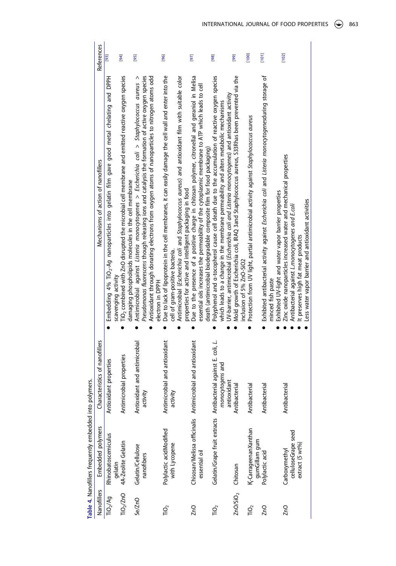<span id="page-7-4"></span><span id="page-7-3"></span><span id="page-7-2"></span><span id="page-7-1"></span><span id="page-7-0"></span>

|                      | Table 4. Nanofillers frequently embedded into polymers. |                                                                                                   |                                                                                                                                                                                                                                                                                                                        |               |
|----------------------|---------------------------------------------------------|---------------------------------------------------------------------------------------------------|------------------------------------------------------------------------------------------------------------------------------------------------------------------------------------------------------------------------------------------------------------------------------------------------------------------------|---------------|
| Nanofillers          | Embedded polymers                                       | Characteristics of nanofillers                                                                    | Mechanisms of action of nanofillers                                                                                                                                                                                                                                                                                    | References    |
| TiO <sub>2</sub> /Ag | Rhinobatoscemiculus<br>qelatin                          | Antioxidant properties                                                                            | Embedding 4% TiO <sub>3</sub> -Ag nanoparticles into gelatin film gave good metal chelating and DPPH<br>scavenging activity                                                                                                                                                                                            | $\frac{1}{2}$ |
|                      | TiO <sub>2</sub> /ZnO 4A-Zeolite Gelatin                | Antimicrobial properties                                                                          | $\overline{\text{n}}$ O <sub>2</sub> combined with ZnO disrupted the microbial cell membrane and emitted reactive oxygen species<br>damaging phospholipids molecules in the cell membrane                                                                                                                              | [94]          |
| Se/ZnO               | Gelatin/Cellulose<br>nanofibers                         | Antioxidant and antimicrobial<br>activity                                                         | Pseudomonas fluorescens though releasing ions and catalysis the formation of active oxygen species<br>Antioxidant through donating electrons from oxygen atoms of nanoparticles to nitrogen atoms odd<br>Antimicrobial against Listeria monocytogenes > Escherichia coli > Staphylococcus aureus ><br>electron in DPPH | [95]          |
| ΓÕ,                  | Polylactic acidModified<br>with Lycopene                | Antimicrobial and antioxidant<br>activity                                                         | Due to lack of lipoprotein in the cell membranes, it can easily damage the cell wall and enter into the<br>Antimicrobial (Escherichia coli and Staphylococcus aureus) and antioxidant film with suitable color<br>properties for active and intelligent packaging in food<br>cell of gram-positive bacteria.           | $[96]$        |
| 2nQ                  | essential oil                                           | Chisosan/Melissa officinalis Antimicrobial and antioxidant                                        | Due to the presence of a positive charge in chitosan polymer, citronellal and geraniol in Melisa<br>essential oils increases the permeability of the cytoplasmic membrane to ATP which leads to cell<br>death (antimicrobial biodegradable composite film for food packaging)                                          | [97]          |
| ΓÕ,                  |                                                         | Gelatin/Grape fruit extracts Antibacterial against E. coli, L.<br>monocytogens and<br>antioxidant | Polyphenol and a-tocopherol cause cell death due to the accumulation of reactive oxygen species<br>UV-barrier, antimicrobial (Escherichia coli and Listeria monocytogenes) and antioxidant activity<br>which leads to a change in the membrane permeability and alters metabolic mechanisms                            | [98]          |
|                      | ZnO/SiO <sub>2</sub> Chitosan                           | Antibacterial                                                                                     | Mold growth of Escherichia coli, IRAQ 3and Staphylococcus aureus, S33Rhas been prevented via the<br>inclusion of 5% ZnO-SiO2                                                                                                                                                                                           | [99]          |
| ΓÕ,                  | K-CarrageenanXanthan<br>qumGillam gum                   | Antibacterial                                                                                     | Protection from UV light, partial antimicrobial activity against Staphylococcus aureus                                                                                                                                                                                                                                 | [100]         |
| ZnO                  | Polylactic acid                                         | Antibacterial                                                                                     | Exhibited antibacterial activity against Escherichia coli and Listeria monocytogenesduring storage of<br>Exhibited UV-light and water vapor barrier properties<br>minced fish paste                                                                                                                                    | [1001]        |
| 2nQ                  | celluloseGrape seed<br>extract (5 wt%)<br>Carboxymethyl | Antibacterial                                                                                     | Zinc oxide nanoparticles increased water and mechanical properties<br>Less water vapor barrier and antioxidant activities<br>Antibacterial against L.monocytogenes and E.coli<br>It preserves high fat meat products                                                                                                   | [102]         |

<span id="page-7-7"></span><span id="page-7-6"></span><span id="page-7-5"></span>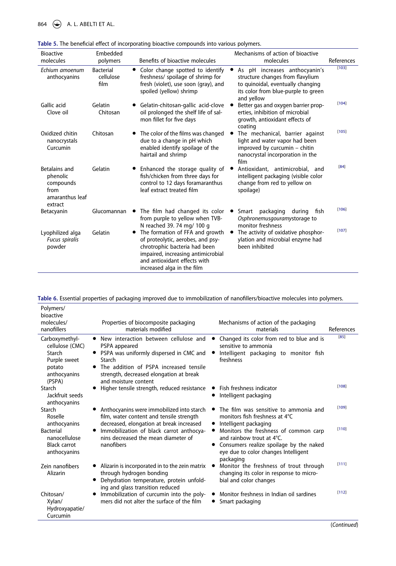864  $\bigoplus$  A. L. ABELTI ET AL.

<span id="page-8-3"></span>

| <b>Bioactive</b><br>molecules                                                | Embedded<br>polymers                  | Benefits of bioactive molecules                                                                                                                                                                           | Mechanisms of action of bioactive<br>molecules                                                                                                                           | References |
|------------------------------------------------------------------------------|---------------------------------------|-----------------------------------------------------------------------------------------------------------------------------------------------------------------------------------------------------------|--------------------------------------------------------------------------------------------------------------------------------------------------------------------------|------------|
| Echium amoenum<br>anthocyanins                                               | <b>Bacterial</b><br>cellulose<br>film | • Color change spotted to identify<br>freshness/ spoilage of shrimp for<br>fresh (violet), use soon (gray), and<br>spoiled (yellow) shrimp                                                                | As pH increases anthocyanin's<br>$\bullet$<br>structure changes from flavylium<br>to quinoidal, eventually changing<br>its color from blue-purple to green<br>and yellow | [103]      |
| Gallic acid<br>Clove oil                                                     | Gelatin<br>Chitosan                   | Gelatin-chitosan-gallic acid-clove<br>oil prolonged the shelf life of sal-<br>mon fillet for five days                                                                                                    | Better gas and oxygen barrier prop-<br>erties, inhibition of microbial<br>growth, antioxidant effects of<br>coating                                                      | [104]      |
| Oxidized chitin<br>nanocrystals<br>Curcumin                                  | Chitosan                              | The color of the films was changed<br>due to a change in pH which<br>enabled identify spoilage of the<br>hairtail and shrimp                                                                              | The mechanical, barrier against<br>light and water vapor had been<br>improved by curcumin - chitin<br>nanocrystal incorporation in the<br>film                           | [105]      |
| Betalains and<br>phenolic<br>compounds<br>from<br>amaranthus leaf<br>extract | Gelatin                               | Enhanced the storage quality of<br>fish/chicken from three days for<br>control to 12 days foramaranthus<br>leaf extract treated film                                                                      | Antioxidant, antimicrobial, and<br>$\bullet$<br>intelligent packaging (visible color<br>change from red to yellow on<br>spoilage)                                        | $[84]$     |
| Betacyanin                                                                   | Glucomannan                           | The film had changed its color<br>from purple to yellow when TVB-<br>N reached 39.74 mg/ 100 g                                                                                                            | packaging<br>during<br>Smart<br>fish<br>$\bullet$<br>Osphronemus qouramy storage to<br>monitor freshness                                                                 | [106]      |
| Lyophilized alga<br><b>Fucus spiralis</b><br>powder                          | Gelatin                               | The formation of FFA and growth<br>of proteolytic, aerobes, and psy-<br>chrotrophic bacteria had been<br>impaired, increasing antimicrobial<br>and antioxidant effects with<br>increased alga in the film | The activity of oxidative phosphor-<br>$\bullet$<br>ylation and microbial enzyme had<br>been inhibited                                                                   | [107]      |

<span id="page-8-2"></span><span id="page-8-0"></span>

<span id="page-8-4"></span><span id="page-8-1"></span>**Table 6.** Essential properties of packaging improved due to immobilization of nanofillers/bioactive molecules into polymers.

| Polymers/<br>bioactive                                                                          |                                                                                                                                                                                                                                                     |                                                                                                                                                                    |            |
|-------------------------------------------------------------------------------------------------|-----------------------------------------------------------------------------------------------------------------------------------------------------------------------------------------------------------------------------------------------------|--------------------------------------------------------------------------------------------------------------------------------------------------------------------|------------|
| molecules/<br>nanofillers                                                                       | Properties of biocomposite packaging<br>materials modified                                                                                                                                                                                          | Mechanisms of action of the packaging<br>materials                                                                                                                 | References |
| Carboxymethyl-<br>cellulose (CMC)<br>Starch<br>Purple sweet<br>potato<br>anthocyanins<br>(PSPA) | New interaction between cellulose and $\bullet$<br>$\bullet$<br>PSPA appeared<br>• PSPA was uniformly dispersed in CMC and<br>Starch<br>• The addition of PSPA increased tensile<br>strength, decreased elongation at break<br>and moisture content | Changed its color from red to blue and is<br>sensitive to ammonia<br>Intelligent packaging to monitor fish<br>freshness                                            | [85]       |
| Starch<br>Jackfruit seeds<br>anthocyanins                                                       | Higher tensile strength, reduced resistance                                                                                                                                                                                                         | Fish freshness indicator<br>Intelligent packaging                                                                                                                  | [108]      |
| Starch<br>Roselle<br>anthocyanins                                                               | Anthocyanins were immobilized into starch<br>film, water content and tensile strength<br>decreased, elongation at break increased                                                                                                                   | The film was sensitive to ammonia and<br>monitors fish freshness at 4°C<br>Intelligent packaging                                                                   | [109]      |
| <b>Bacterial</b><br>nanocellulose<br>Black carrot<br>anthocyanins                               | Immobilization of black carrot anthocya-<br>nins decreased the mean diameter of<br>nanofibers                                                                                                                                                       | Monitors the freshness of common carp<br>and rainbow trout at 4°C.<br>Consumers realize spoilage by the naked<br>eye due to color changes Intelligent<br>packaging | [110]      |
| Zein nanofibers<br>Alizarin                                                                     | Alizarin is incorporated in to the zein matrix<br>through hydrogen bonding<br>Dehydration temperature, protein unfold-<br>ing and glass transition reduced                                                                                          | Monitor the freshness of trout through<br>changing its color in response to micro-<br>bial and color changes                                                       | [111]      |
| Chitosan/<br>Xylan/<br>Hydroxyapatie/<br>Curcumin                                               | Immobilization of curcumin into the poly-<br>mers did not alter the surface of the film                                                                                                                                                             | Monitor freshness in Indian oil sardines<br>Smart packaging                                                                                                        | [112]      |

<span id="page-8-7"></span><span id="page-8-6"></span><span id="page-8-5"></span>(*Continued*)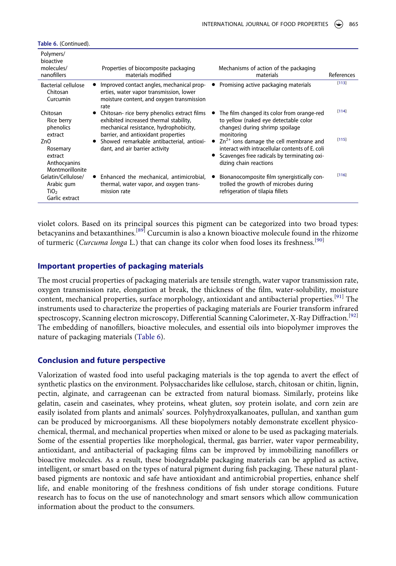<span id="page-9-3"></span>

| Polymers/<br>bioactive<br>molecules/<br>nanofillers                    | Properties of biocomposite packaging<br>materials modified                                                                                                              | Mechanisms of action of the packaging<br>materials                                                                                                                      | References |
|------------------------------------------------------------------------|-------------------------------------------------------------------------------------------------------------------------------------------------------------------------|-------------------------------------------------------------------------------------------------------------------------------------------------------------------------|------------|
| Bacterial cellulose<br>Chitosan<br>Curcumin                            | Improved contact angles, mechanical prop-<br>erties, water vapor transmission, lower<br>moisture content, and oxygen transmission<br>rate                               | Promising active packaging materials                                                                                                                                    | [113]      |
| Chitosan<br>Rice berry<br>phenolics<br>extract                         | Chitosan- rice berry phenolics extract films<br>exhibited increased thermal stability,<br>mechanical resistance, hydrophobicity,<br>barrier, and antioxidant properties | The film changed its color from orange-red<br>to yellow (naked eye detectable color<br>changes) during shrimp spoilage<br>monitoring                                    | [114]      |
| ZnO<br>Rosemary<br>extract<br>Anthocyanins<br>Montmorillonite          | Showed remarkable antibacterial, antioxi-<br>dant, and air barrier activity                                                                                             | $Zn^{2+}$ ions damage the cell membrane and<br>interact with intracellular contents of E. coli<br>Scavenges free radicals by terminating oxi-<br>dizing chain reactions | [115]      |
| Gelatin/Cellulose/<br>Arabic gum<br>TiO <sub>2</sub><br>Garlic extract | Enhanced the mechanical, antimicrobial,<br>thermal, water vapor, and oxygen trans-<br>mission rate                                                                      | Bionanocomposite film synergistically con-<br>trolled the growth of microbes during<br>refrigeration of tilapia fillets                                                 | [116]      |

**Table 6.** (Continued).

<span id="page-9-4"></span><span id="page-9-1"></span><span id="page-9-0"></span>violet colors. Based on its principal sources this pigment can be categorized into two broad types: betacyanins and betaxanthines.<sup>[\[89\]](#page-14-16)</sup> Curcumin is also a known bioactive molecule found in the rhizome of turmeric (*Curcuma longa* L.) that can change its color when food loses its freshness.[\[90](#page-14-17)]

## **Important properties of packaging materials**

<span id="page-9-2"></span>The most crucial properties of packaging materials are tensile strength, water vapor transmission rate, oxygen transmission rate, elongation at break, the thickness of the film, water-solubility, moisture content, mechanical properties, surface morphology, antioxidant and antibacterial properties.<sup>[[91](#page-14-18)]</sup> The instruments used to characterize the properties of packaging materials are Fourier transform infrared spectroscopy, Scanning electron microscopy, Differential Scanning Calorimeter, X-Ray Diffraction.<sup>[\[92](#page-14-19)]</sup> The embedding of nanofillers, bioactive molecules, and essential oils into biopolymer improves the nature of packaging materials ([Table 6](#page-8-1)).

### **Conclusion and future perspective**

Valorization of wasted food into useful packaging materials is the top agenda to avert the effect of synthetic plastics on the environment. Polysaccharides like cellulose, starch, chitosan or chitin, lignin, pectin, alginate, and carrageenan can be extracted from natural biomass. Similarly, proteins like gelatin, casein and caseinates, whey proteins, wheat gluten, soy protein isolate, and corn zein are easily isolated from plants and animals' sources. Polyhydroxyalkanoates, pullulan, and xanthan gum can be produced by microorganisms. All these biopolymers notably demonstrate excellent physicochemical, thermal, and mechanical properties when mixed or alone to be used as packaging materials. Some of the essential properties like morphological, thermal, gas barrier, water vapor permeability, antioxidant, and antibacterial of packaging films can be improved by immobilizing nanofillers or bioactive molecules. As a result, these biodegradable packaging materials can be applied as active, intelligent, or smart based on the types of natural pigment during fish packaging. These natural plantbased pigments are nontoxic and safe have antioxidant and antimicrobial properties, enhance shelf life, and enable monitoring of the freshness conditions of fish under storage conditions. Future research has to focus on the use of nanotechnology and smart sensors which allow communication information about the product to the consumers.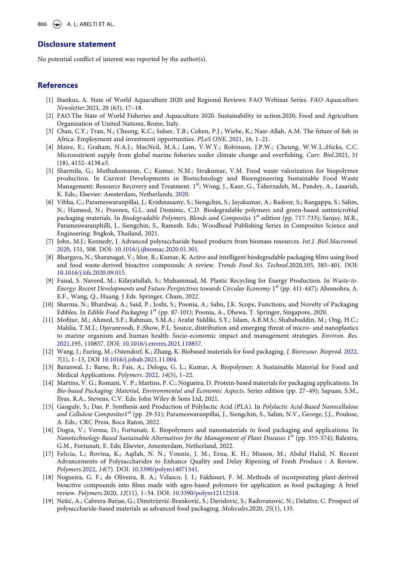866  $\leftrightarrow$  A. L. ABELTI ET AL.

### **Disclosure statement**

No potential conflict of interest was reported by the author(s).

#### **References**

- <span id="page-10-0"></span>[1] Stankus, A. State of World Aquaculture 2020 and Regional Reviews: FAO Webinar Series. *FAO Aquaculture Newsletter*.2021, 20 (63), 17–18.
- <span id="page-10-1"></span>[2] FAO.The State of World Fisheries and Aquaculture 2020. Sustainability in action.2020, Food and Agriculture Organization of United Nations, Rome, Italy.
- <span id="page-10-2"></span>[3] Chan, C.Y.; Tran, N.; Cheong, K.C.; Sulser, T.B.; Cohen, P.J.; Wiebe, K.; Nasr-Allah, A.M. The future of fish in Africa: Employment and investment opportunities. *PLoS ONE*. [2021](#page-1-4), 16, 1–21.
- <span id="page-10-3"></span>[4] Maire, E.; Graham, N.A.J.; MacNeil, M.A.; Lam, V.W.Y.; Robinson, J.P.W.; Cheung, W.W.L.;Hicks, C.C. Micronutrient supply from global marine fisheries under climate change and overfishing. *Curr. Biol*.2021, 31 (18), 4132–4138.e3.
- <span id="page-10-4"></span>[5] Sharmila, G.; Muthukumaran, C.; Kumar, N.M.; Sivakumar, V.M. Food waste valorization for biopolymer production. In Current Developments in Biotechnology and Bioengineering Sustainable Food Waste Management: Resource Recovery and Treatment. 1<sup>st</sup>; Wong, J., Kaur, G., Taherzadeh, M., Pandey, A., Lasaridi, K. Eds.; Elsevier: Amsterdam, Netherlands, [2020.](#page-1-5)
- <span id="page-10-5"></span>[6] Vibha, C.; Parameswaranpillai, J.; Krishnasamy, S.; Siengchin, S.; Jayakumar, A.; Radoor, S.; Rangappa, S.; Salim, N.; Hameed, N.; Praveen, G.L. and Dominic, C.D. Biodegradable polymers and green-based antimicrobial packaging materials. In *Biodegradable Polymers, Blends and Composites* 1st edition (pp. 717-733); Sanjay, M.R., Parameswaranphilli, J., Siengchin, S., Ramesh. Eds.; Woodhead Publishing Series in Composites Science and Engineering: Bngkok, Thailand, 2021.
- <span id="page-10-6"></span>[7] John, M.J.; Kennedy, J. Advanced polysaccharide based products from biomass resources. *Int.J. Biol.Macromol*. [2020,](#page-1-6) 151, 508. DOI: [10.1016/j.ijbiomac.2020.01.301.](https://doi.org/10.1016/j.ijbiomac.2020.01.301)
- <span id="page-10-7"></span>[8] Bhargava, N.; Sharanagat, V.; Mor, R.; Kumar, K. Active and intelligent biodegradable packaging films using food and food waste-derived bioactive compounds: A review. *Trends Food Sci. Technol*.2020,105, 385–401. DOI: [10.1016/j.tifs.2020.09.015.](https://doi.org/10.1016/j.tifs.2020.09.015)
- <span id="page-10-8"></span>[9] Faisal, S. Naveed, M.; Kifayatullah, S.; Muhammad, M. Plastic Recycling for Energy Production. In *Waste-to-Energy: Recent Developments and Future Perspectives towards Circular Economy* 1<sup>st</sup> (pp. 411-447); Abomohra, A. E.F., Wang, Q., Huang. J Eds. Springer, Cham, 2022.
- <span id="page-10-9"></span>[10] Sharma, N.; Bhardwaj, A.; Said, P.; Joshi, S.; Poonia, A.; Sahu, J.K. Scope, Functions, and Novelty of Packaging Edibles. In *Edible Food Packaging* 1st (pp. 87-101); Poonia, A., Dhewa, T. Springer, Singapore, 2020.
- <span id="page-10-10"></span>[11] Mofijur, M.; Ahmed, S.F.; Rahman, S.M.A.; Arafat Siddiki, S.Y.; Islam, A.B.M.S.; Shahabuddin, M.; Ong, H.C.; Mahlia, T.M.I.; Djavanroodi, F.;Show, P.L. Source, distribution and emerging threat of micro- and nanoplastics to marine organism and human health: Socio-economic impact and management strategies. *Environ. Res*. [2021,](#page-2-0)195, 110857. DOI: [10.1016/j.envres.2021.110857.](https://doi.org/10.1016/j.envres.2021.110857)
- <span id="page-10-11"></span>[12] Wang, J.; Euring, M.; Ostendorf, K.; Zhang, K. Biobased materials for food packaging. *J. Bioresour. Bioprod*. [2022](#page-2-1), *7*(1), 1–13, DOI [10.1016/j.jobab.2021.11.004](https://doi.org/10.1016/j.jobab.2021.11.004).
- <span id="page-10-12"></span>[13] Baranwal, J.; Barse, B.; Fais, A.; Delogu, G. L.; Kumar, A. Biopolymer: A Sustainable Material for Food and Medical Applications. *Polymers*. [2022](#page-2-2), *14*(5), 1–22.
- <span id="page-10-13"></span>[14] Martins, V. G.; Romani, V. P.; Martins, P. C.; Nogueira, D. Protein-based materials for packaging applications. In *Bio-based Packaging: Material, Environmental and Economic Aspects*. Series edition (pp. 27–49); Sapuan, S.M., Ilyas, R.A., Stevens, C.V. Eds; John Wiley & Sons Ltd, 2021.
- <span id="page-10-14"></span>[15] Ganguly, S.; Das, P. Synthesis and Production of Polylactic Acid (PLA). In *Polylactic Acid-Based Nanocellulose*  and Cellulose Composites1<sup>st</sup> (pp. 29-51); Parameswaranpillai, J., Siengchin, S., Salim, N.V., George, J.J., Poulose, A. Eds.; CRC Press, Boca Raton, 2022.
- <span id="page-10-15"></span>[16] Dogra, V.; Verma, D.; Fortunati, E. Biopolymers and nanomaterials in food packaging and applications. In *Nanotechnology-Based Sustainable Alternatives for the Management of Plant Diseases* 1<sup>st</sup> (pp. 355-374); Balestra, G.M., Fortunati, E. Eds; Elsevier, Amesterdam, Netherland, 2022.
- <span id="page-10-16"></span>[17] Felicia, L.; Rovina, K.; Aqilah, N. N.; Vonnie, J. M.; Erna, K. H.; Misson, M.; Abdul Halid, N. Recent Advancements of Polysaccharides to Enhance Quality and Delay Ripening of Fresh Produce : A Review. *Polymers*.[2022](#page-2-3), *14*(7). DOI: [10.3390/polym14071341](https://doi.org/10.3390/polym14071341).
- <span id="page-10-17"></span>[18] Nogueira, G. F.; de Oliveira, R. A.; Velasco, J. I.; Fakhouri, F. M. Methods of incorporating plant-derived bioactive compounds into films made with agro-based polymers for application as food packaging: A brief review. *Polymers*.2020, *12*(11), 1–34. DOI: [10.3390/polym12112518](https://doi.org/10.3390/polym12112518).
- <span id="page-10-18"></span>[19] Nešić, A.; Cabrera-Barjas, G.; Dimitrijević-Branković, S.; Davidović, S.; Radovanović, N.; Delattre, C. Prospect of polysaccharide-based materials as advanced food packaging. *Molecules*.2020, *25*(1), 135.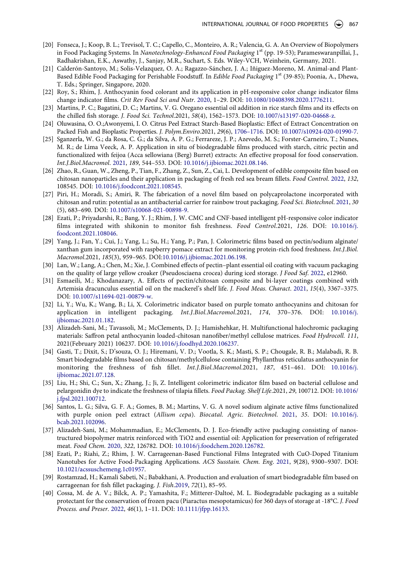- <span id="page-11-0"></span>[20] Fonseca, J.; Koop, B. L.; Trevisol, T. C.; Capello, C., Monteiro, A. R.; Valencia, G. A. An Overview of Biopolymers in Food Packaging Systems. In *Nanotechnology-Enhanced Food Packaging* 1st (pp. 19-53); Parameswaranpillai, J., Radhakrishan, E.K., Aswathy, J., Sanjay, M.R., Suchart, S. Eds. Wiley-VCH, Weinhein, Germany, 2021.
- <span id="page-11-1"></span>[21] Calderón-Santoyo, M.; Solis-Velazquez, O. A.; Ragazzo-Sánchez, J. A.; Iñiguez-Moreno, M. Animal-and Plant-Based Edible Food Packaging for Perishable Foodstuff. In *Edible Food Packaging* 1st (39-85); Poonia, A., Dhewa, T. Eds.; Springer, Singapore, 2020.
- <span id="page-11-2"></span>[22] Roy, S.; Rhim, J. Anthocyanin food colorant and its application in pH-responsive color change indicator films change indicator films. *Crit Rev Food Sci and Nutr*. [2020](#page-2-4), 1–29. DOI: [10.1080/10408398.2020.1776211](https://doi.org/10.1080/10408398.2020.1776211).
- <span id="page-11-4"></span>[23] Martins, P. C.; Bagatini, D. C.; Martins, V. G. Oregano essential oil addition in rice starch films and its effects on the chilled fish storage. *J. Food Sci. Technol*.2021, *58*(4), 1562–1573. DOI: [10.1007/s13197-020-04668-z](https://doi.org/10.1007/s13197-020-04668-z).
- <span id="page-11-5"></span>[24] Oluwasina, O. O.;Awonyemi, I. O. Citrus Peel Extract Starch-Based Bioplastic: Effect of Extract Concentration on Packed Fish and Bioplastic Properties. *J. Polym.Enviro*.2021, *29*(6), [1706–1716](#page-3-1). DOI: [10.1007/s10924-020-01990-7](https://doi.org/10.1007/s10924-020-01990-7).
- <span id="page-11-6"></span>[25] Sganzerla, W. G.; da Rosa, C. G.; da Silva, A. P. G.; Ferrareze, J. P.; Azevedo, M. S.; Forster-Carneiro, T.; Nunes, M. R.; de Lima Veeck, A. P. Application in situ of biodegradable films produced with starch, citric pectin and functionalized with feijoa (Acca sellowiana (Berg) Burret) extracts: An effective proposal for food conservation. *Int.J.Biol.Macromol*. [2021,](#page-3-2) *189*, 544–553. DOI: [10.1016/j.ijbiomac.2021.08.146](https://doi.org/10.1016/j.ijbiomac.2021.08.146).
- <span id="page-11-7"></span>[26] Zhao, R., Guan, W., Zheng, P., Tian, F., Zhang, Z., Sun, Z., Cai, L. Development of edible composite film based on chitosan nanoparticles and their application in packaging of fresh red sea bream fillets. *Food Control*. [2022,](#page-3-3) *132*, 108545. DOI: [10.1016/j.foodcont.2021.108545.](https://doi.org/10.1016/j.foodcont.2021.108545)
- <span id="page-11-8"></span>[27] Piri, H.; Moradi, S.; Amiri, R. The fabrication of a novel film based on polycaprolactone incorporated with chitosan and rutin: potential as an antibacterial carrier for rainbow trout packaging. *Food Sci. Biotechnol*. [2021](#page-3-4), *30*  (5), 683–690. DOI: [10.1007/s10068-021-00898-9](https://doi.org/10.1007/s10068-021-00898-9).
- <span id="page-11-9"></span>[28] Ezati, P.; Priyadarshi, R.; Bang, Y. J.; Rhim, J. W. CMC and CNF-based intelligent pH-responsive color indicator films integrated with shikonin to monitor fish freshness. *Food Control*.2021, *126*. DOI: [10.1016/j.](https://doi.org/10.1016/j.foodcont.2021.108046) [foodcont.2021.108046.](https://doi.org/10.1016/j.foodcont.2021.108046)
- <span id="page-11-10"></span>[29] Yang, J.; Fan, Y.; Cui, J.; Yang, L.; Su, H.; Yang, P.; Pan, J. Colorimetric films based on pectin/sodium alginate/ xanthan gum incorporated with raspberry pomace extract for monitoring protein-rich food freshness. *Int.J.Biol. Macromol*.2021, *185*(3), 959–965. DOI:[10.1016/j.ijbiomac.2021.06.198](https://doi.org/10.1016/j.ijbiomac.2021.06.198).
- <span id="page-11-11"></span>[30] Lan, W.; Lang, A.; Chen, M.; Xie, J. Combined effects of pectin–plant essential oil coating with vacuum packaging on the quality of large yellow croaker (Pseudosciaena crocea) during iced storage. *J Food Saf*. [2022,](#page-3-5) e12960.
- <span id="page-11-12"></span>[31] Esmaeili, M.; Khodanazary, A. Effects of pectin/chitosan composite and bi-layer coatings combined with Artemisia dracunculus essential oil on the mackerel's shelf life. *J. Food Meas. Charact*. [2021,](#page-3-6) *15*(4), 3367–3375. DOI: [10.1007/s11694-021-00879-w.](https://doi.org/10.1007/s11694-021-00879-w)
- <span id="page-11-13"></span>[32] Li, Y.; Wu, K.; Wang, B.; Li, X. Colorimetric indicator based on purple tomato anthocyanins and chitosan for application in intelligent packaging. *Int.J.Biol.Macromol*.2021, *174*, 370–376. DOI: [10.1016/j.](https://doi.org/10.1016/j.ijbiomac.2021.01.182) [ijbiomac.2021.01.182.](https://doi.org/10.1016/j.ijbiomac.2021.01.182)
- <span id="page-11-14"></span>[33] Alizadeh-Sani, M.; Tavassoli, M.; McClements, D. J.; Hamishehkar, H. Multifunctional halochromic packaging materials: Saffron petal anthocyanin loaded-chitosan nanofiber/methyl cellulose matrices. *Food Hydrocoll. 111*, 2021(February 2021) 106237. DOI: [10.1016/j.foodhyd.2020.106237.](https://doi.org/10.1016/j.foodhyd.2020.106237)
- <span id="page-11-15"></span>[34] Gasti, T.; Dixit, S.; D'souza, O. J.; Hiremani, V. D.; Vootla, S. K.; Masti, S. P.; Chougale, R. B.; Malabadi, R. B. Smart biodegradable films based on chitosan/methylcellulose containing Phyllanthus reticulatus anthocyanin for monitoring the freshness of fish fillet. *Int.J.Biol.Macromol*.2021, *187*, 451–461. DOI: [10.1016/j.](https://doi.org/10.1016/j.ijbiomac.2021.07.128) [ijbiomac.2021.07.128.](https://doi.org/10.1016/j.ijbiomac.2021.07.128)
- <span id="page-11-16"></span>[35] Liu, H.; Shi, C.; Sun, X.; Zhang, J.; Ji, Z. Intelligent colorimetric indicator film based on bacterial cellulose and pelargonidin dye to indicate the freshness of tilapia fillets. *Food Packag. Shelf Life*.2021, *29*, 100712. DOI: [10.1016/](https://doi.org/10.1016/j.fpsl.2021.100712) [j.fpsl.2021.100712](https://doi.org/10.1016/j.fpsl.2021.100712).
- <span id="page-11-17"></span>[36] Santos, L. G.; Silva, G. F. A.; Gomes, B. M.; Martins, V. G. A novel sodium alginate active films functionalized with purple onion peel extract (*Allium cepa*). *Biocatal. Agric. Biotechnol*. [2021,](#page-3-7) *35*. DOI: [10.1016/j.](https://doi.org/10.1016/j.bcab.2021.102096) [bcab.2021.102096](https://doi.org/10.1016/j.bcab.2021.102096).
- <span id="page-11-18"></span>[37] Alizadeh-Sani, M.; Mohammadian, E.; McClements, D. J. Eco-friendly active packaging consisting of nanostructured biopolymer matrix reinforced with TiO2 and essential oil: Application for preservation of refrigerated meat. *Food Chem*. [2020](#page-3-8), *322*, 126782. DOI: [10.1016/j.foodchem.2020.126782](https://doi.org/10.1016/j.foodchem.2020.126782).
- <span id="page-11-19"></span>[38] Ezati, P.; Riahi, Z.; Rhim, J. W. Carrageenan-Based Functional Films Integrated with CuO-Doped Titanium Nanotubes for Active Food-Packaging Applications. *ACS Susstain. Chem. Eng*. [2021](#page-3-9), *9*(28), 9300–9307. DOI: [10.1021/acssuschemeng.1c01957.](https://doi.org/10.1021/acssuschemeng.1c01957)
- <span id="page-11-20"></span>[39] Rostamzad, H.; Kamali Sabeti, N.; Babakhani, A. Production and evaluation of smart biodegradable film based on carrageenan for fish fillet packaging. *J. Fish*.[2019](#page-3-10), *72*(1), 85–95.
- <span id="page-11-3"></span>[40] Cossa, M. de A. V.; Bilck, A. P.; Yamashita, F.; Mitterer-Daltoé, M. L. Biodegradable packaging as a suitable protectant for the conservation of frozen pacu (Piaractus mesopotamicus) for 360 days of storage at -18°C. *J. Food Process. and Preser*. [2022,](#page-3-11) *46*(1), 1–11. DOI: [10.1111/jfpp.16133](https://doi.org/10.1111/jfpp.16133).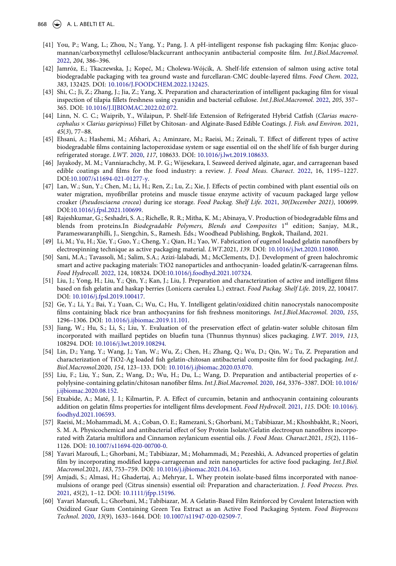- <span id="page-12-0"></span>[41] You, P.; Wang, L.; Zhou, N.; Yang, Y.; Pang, J. A pH-intelligent response fish packaging film: Konjac glucomannan/carboxymethyl cellulose/blackcurrant anthocyanin antibacterial composite film. *Int.J.Biol.Macromol*. [2022,](#page-3-12) *204*, 386–396.
- <span id="page-12-1"></span>[42] Jamróz, E.; Tkaczewska, J.; Kopeć, M.; Cholewa-Wójcik, A. Shelf-life extension of salmon using active total biodegradable packaging with tea ground waste and furcellaran-CMC double-layered films. *Food Chem*. [2022](#page-3-13), *383*, 132425. DOI: [10.1016/J.FOODCHEM.2022.132425](https://doi.org/10.1016/J.FOODCHEM.2022.132425).
- <span id="page-12-2"></span>[43] Shi, C.; Ji, Z.; Zhang, J.; Jia, Z.; Yang, X. Preparation and characterization of intelligent packaging film for visual inspection of tilapia fillets freshness using cyanidin and bacterial cellulose. *Int.J.Biol.Macromol*. [2022,](#page-3-14) *205*, 357– 365. DOI: [10.1016/J.IJBIOMAC.2022.02.072](https://doi.org/10.1016/J.IJBIOMAC.2022.02.072).
- <span id="page-12-3"></span>[44] Linn, N. C. C.; Waiprib, Y., Wilaipun, P. Shelf-life Extension of Refrigerated Hybrid Catfish (*Clarias macrocephalus* × *Clarias gariepinus*) Fillet by Chitosan- and Alginate-Based Edible Coatings. *J. Fish. and Environ*. [2021](#page-3-15), *45*(*3*), 77–88.
- <span id="page-12-4"></span>[45] Ehsani, A.; Hashemi, M.; Afshari, A.; Aminzare, M.; Raeisi, M.; Zeinali, T. Effect of different types of active biodegradable films containing lactoperoxidase system or sage essential oil on the shelf life of fish burger during refrigerated storage. *LWT*. [2020,](#page-4-1) *117*, 108633. DOI: [10.1016/j.lwt.2019.108633.](https://doi.org/10.1016/j.lwt.2019.108633)
- <span id="page-12-5"></span>[46] Jayakody, M. M.; Vanniarachchy, M. P. G.; Wijesekara, I. Seaweed derived alginate, agar, and carrageenan based edible coatings and films for the food industry: a review. *J. Food Meas. Charact*. [2022,](#page-4-2) 16, 1195–1227. DOI:[10.1007/s11694-021-01277-y](https://doi.org/10.1007/s11694-021-01277-y).
- <span id="page-12-6"></span>[47] Lan, W.; Sun, Y.; Chen, M.; Li, H.; Ren, Z.; Lu, Z.; Xie, J. Effects of pectin combined with plant essential oils on water migration, myofibrillar proteins and muscle tissue enzyme activity of vacuum packaged large yellow croaker (*Pseudosciaena crocea*) during ice storage. *Food Packag. Shelf Life*. [2021](#page-4-3), *30(December 2021)*, 100699. DOI:[10.1016/j.fpsl.2021.100699](https://doi.org/10.1016/j.fpsl.2021.100699).
- <span id="page-12-7"></span>[48] Rajeshkumar, G.; Seshadri, S. A.; Richelle, R. R.; Mitha, K. M.; Abinaya, V. Production of biodegradable films and blends from proteins.In *Biodegradable Polymers*, *Blends and Composites* 1<sup>st</sup> edition; Sanjay, M.R., Parameswaranphilli, J., Siengchin, S., Ramesh. Eds.; Woodhead Publishing, Bngkok, Thailand, 2021.
- <span id="page-12-8"></span>[49] Li, M.; Yu, H.; Xie, Y.; Guo, Y.; Cheng, Y.; Qian, H.; Yao, W. Fabrication of eugenol loaded gelatin nanofibers by electrospinning technique as active packaging material. *LWT*.2021, *139*. DOI: [10.1016/j.lwt.2020.110800](https://doi.org/10.1016/j.lwt.2020.110800).
- <span id="page-12-9"></span>[50] Sani, M.A.; Tavassoli, M.; Salim, S.A.; Azizi-lalabadi, M.; McClements, D.J. Development of green halochromic smart and active packaging materials: TiO2 nanoparticles and anthocyanin- loaded gelatin/K-carrageenan films. *Food Hydrocoll*. [2022](#page-4-4), 124, 108324. DOI:[10.1016/j.foodhyd.2021.107324.](https://doi.org/10.1016/j.foodhyd.2021.107324)
- <span id="page-12-10"></span>[51] Liu, J.; Yong, H.; Liu, Y.; Qin, Y.; Kan, J.; Liu, J. Preparation and characterization of active and intelligent films based on fish gelatin and haskap berries (Lonicera caerulea L.) extract. *Food Packag. Shelf Life*. 2019, *22*, 100417. DOI: [10.1016/j.fpsl.2019.100417](https://doi.org/10.1016/j.fpsl.2019.100417).
- <span id="page-12-11"></span>[52] Ge, Y.; Li, Y.; Bai, Y.; Yuan, C.; Wu, C.; Hu, Y. Intelligent gelatin/oxidized chitin nanocrystals nanocomposite films containing black rice bran anthocyanins for fish freshness monitorings. *Int.J.Biol.Macromol*. [2020,](#page-4-5) *155*, 1296–1306. DOI: [10.1016/j.ijbiomac.2019.11.101](https://doi.org/10.1016/j.ijbiomac.2019.11.101).
- <span id="page-12-12"></span>[53] Jiang, W.; Hu, S.; Li, S.; Liu, Y. Evaluation of the preservation effect of gelatin-water soluble chitosan film incorporated with maillard peptides on bluefin tuna (Thunnus thynnus) slices packaging. *LWT*. [2019](#page-4-6), *113*, 108294. DOI: [10.1016/j.lwt.2019.108294.](https://doi.org/10.1016/j.lwt.2019.108294)
- <span id="page-12-13"></span>[54] Lin, D.; Yang, Y.; Wang, J.; Yan, W.; Wu, Z.; Chen, H.; Zhang, Q.; Wu, D.; Qin, W.; Tu, Z. Preparation and characterization of TiO2-Ag loaded fish gelatin-chitosan antibacterial composite film for food packaging. *Int.J. Biol.Macromol*.2020, *154*, 123–133. DOI: [10.1016/j.ijbiomac.2020.03.070](https://doi.org/10.1016/j.ijbiomac.2020.03.070).
- <span id="page-12-14"></span>[55] Liu, F.; Liu, Y.; Sun, Z.; Wang, D.; Wu, H.; Du, L.; Wang, D. Preparation and antibacterial properties of εpolylysine-containing gelatin/chitosan nanofiber films. *Int.J.Biol.Macromol*. [2020](#page-4-7), *164*, 3376–3387. DOI: [10.1016/](https://doi.org/10.1016/j.ijbiomac.2020.08.152) [j.ijbiomac.2020.08.152.](https://doi.org/10.1016/j.ijbiomac.2020.08.152)
- <span id="page-12-15"></span>[56] Etxabide, A.; Maté, J. I.; Kilmartin, P. A. Effect of curcumin, betanin and anthocyanin containing colourants addition on gelatin films properties for intelligent films development. *Food Hydrocoll*. [2021](#page-4-8), *115*. DOI: [10.1016/j.](https://doi.org/10.1016/j.foodhyd.2021.106593)  [foodhyd.2021.106593.](https://doi.org/10.1016/j.foodhyd.2021.106593)
- <span id="page-12-16"></span>[57] Raeisi, M.; Mohammadi, M. A.; Coban, O. E.; Ramezani, S.; Ghorbani, M.; Tabibiazar, M.; Khoshbakht, R.; Noori, S. M. A. Physicochemical and antibacterial effect of Soy Protein Isolate/Gelatin electrospun nanofibres incorporated with Zataria multiflora and Cinnamon zeylanicum essential oils. *J. Food Meas. Charact*.2021, *15*(2), 1116– 1126. DOI: [10.1007/s11694-020-00700-0](https://doi.org/10.1007/s11694-020-00700-0).
- <span id="page-12-17"></span>[58] Yavari Maroufi, L.; Ghorbani, M.; Tabibiazar, M.; Mohammadi, M.; Pezeshki, A. Advanced properties of gelatin film by incorporating modified kappa-carrageenan and zein nanoparticles for active food packaging. *Int.J.Biol. Macromol*.2021, *183*, 753–759. DOI: [10.1016/j.ijbiomac.2021.04.163.](https://doi.org/10.1016/j.ijbiomac.2021.04.163)
- <span id="page-12-18"></span>[59] Amjadi, S.; Almasi, H.; Ghadertaj, A.; Mehryar, L. Whey protein isolate-based films incorporated with nanoemulsions of orange peel (Citrus sinensis) essential oil: Preparation and characterization. *J. Food Process. Pres*. [2021,](#page-4-9) *45*(2), 1–12. DOI: [10.1111/jfpp.15196](https://doi.org/10.1111/jfpp.15196).
- <span id="page-12-19"></span>[60] Yavari Maroufi, L.; Ghorbani, M.; Tabibiazar, M. A Gelatin-Based Film Reinforced by Covalent Interaction with Oxidized Guar Gum Containing Green Tea Extract as an Active Food Packaging System. *Food Bioprocess Technol*. [2020,](#page-4-10) *13*(9), 1633–1644. DOI: [10.1007/s11947-020-02509-7](https://doi.org/10.1007/s11947-020-02509-7).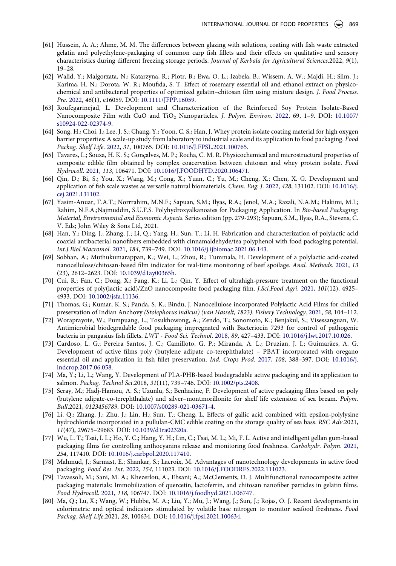- <span id="page-13-0"></span>[61] Hussein, A. A.; Ahme, M. M. The differences between glazing with solutions, coating with fish waste extracted gelatin and polyethylene-packaging of common carp fish fillets and their effects on qualitative and sensory characteristics during different freezing storage periods. *Journal of Kerbala for Agricultural Sciences*.2022, *9*(1), 19–28.
- <span id="page-13-1"></span>[62] Walid, Y.; Malgorzata, N.; Katarzyna, R.; Piotr, B.; Ewa, O. L.; Izabela, B.; Wissem, A. W.; Majdi, H.; Slim, J.; Karima, H. N.; Dorota, W. R.; Moufida, S. T. Effect of rosemary essential oil and ethanol extract on physicochemical and antibacterial properties of optimized gelatin–chitosan film using mixture design. *J. Food Process. Pre*. [2022](#page-5-0), *46*(1), e16059. DOI: [10.1111/JFPP.16059.](https://doi.org/10.1111/JFPP.16059)
- <span id="page-13-2"></span>[63] Roufegarinejad, L. Development and Characterization of the Reinforced Soy Protein Isolate-Based Nanocomposite Film with CuO and TiO2 Nanoparticles. *J. Polym. Environ*. [2022](#page-5-1), 69, 1–9. DOI: [10.1007/](https://doi.org/10.1007/s10924-022-02374-9) [s10924-022-02374-9.](https://doi.org/10.1007/s10924-022-02374-9)
- <span id="page-13-3"></span>[64] Song, H.; Choi, I.; Lee, J. S.; Chang, Y.; Yoon, C. S.; Han, J. Whey protein isolate coating material for high oxygen barrier properties: A scale-up study from laboratory to industrial scale and its application to food packaging. *Food Packag. Shelf Life*. [2022](#page-5-2), *31*, 100765. DOI: [10.1016/J.FPSL.2021.100765](https://doi.org/10.1016/J.FPSL.2021.100765).
- <span id="page-13-4"></span>[65] Tavares, L.; Souza, H. K. S.; Gonçalves, M. P.; Rocha, C. M. R. Physicochemical and microstructural properties of composite edible film obtained by complex coacervation between chitosan and whey protein isolate. *Food Hydrocoll*. [2021](#page-5-3), *113*, 106471. DOI: [10.1016/J.FOODHYD.2020.106471.](https://doi.org/10.1016/J.FOODHYD.2020.106471)
- <span id="page-13-5"></span>[66] Qin, D.; Bi, S.; You, X.; Wang, M.; Cong, X.; Yuan, C.; Yu, M.; Cheng, X.; Chen, X. G. Development and application of fish scale wastes as versatile natural biomaterials. *Chem. Eng. J*. [2022](#page-5-4), *428*, 131102. DOI: [10.1016/j.](https://doi.org/10.1016/j.cej.2021.131102)  [cej.2021.131102](https://doi.org/10.1016/j.cej.2021.131102).
- <span id="page-13-6"></span>[67] Yasim-Anuar, T.A.T.; Norrrahim, M.N.F.; Sapuan, S.M.; Ilyas, R.A.; Jenol, M.A.; Razali, N.A.M.; Hakimi, M.I.; Rahim, N.F.A.;Najmuddin, S.U.F.S. Polyhydroxyalkanoates for Packaging Application. In *Bio-based Packaging: Material, Environmental and Economic Aspects*. Series edition (pp. 279-293); Sapuan, S.M., Ilyas, R.A., Stevens, C. V. Eds; John Wiley & Sons Ltd, 2021.
- <span id="page-13-10"></span>[68] Han, Y.; Ding, J.; Zhang, J.; Li, Q.; Yang, H.; Sun, T.; Li, H. Fabrication and characterization of polylactic acid coaxial antibacterial nanofibers embedded with cinnamaldehyde/tea polyphenol with food packaging potential. *Int.J.Biol.Macromol*. [2021,](#page-6-1) *184*, 739–749. DOI: [10.1016/j.ijbiomac.2021.06.143](https://doi.org/10.1016/j.ijbiomac.2021.06.143).
- <span id="page-13-11"></span>[69] Sobhan, A.; Muthukumarappan, K.; Wei, L.; Zhou, R.; Tummala, H. Development of a polylactic acid-coated nanocellulose/chitosan-based film indicator for real-time monitoring of beef spoilage. *Anal. Methods*. [2021](#page-6-2), *13*  (23), 2612–2623. DOI: [10.1039/d1ay00365h](https://doi.org/10.1039/d1ay00365h).
- <span id="page-13-12"></span>[70] Cui, R.; Fan, C.; Dong, X.; Fang, K.; Li, L.; Qin, Y. Effect of ultrahigh-pressure treatment on the functional properties of poly(lactic acid)/ZnO nanocomposite food packaging film. *J.Sci.Food Agri*. [2021](#page-6-3), *101*(12), 4925– 4933. DOI: [10.1002/jsfa.11136.](https://doi.org/10.1002/jsfa.11136)
- <span id="page-13-13"></span>[71] Thomas, G.; Kumar, K. S.; Panda, S. K.; Bindu, J. Nanocellulose incorporated Polylactic Acid Films for chilled preservation of Indian Anchovy *(Stolephorus indicus) (van Hasselt, 1823)*. *Fishery Technology*. [2021](#page-6-4), *58*, 104–112.
- <span id="page-13-14"></span>[72] Woraprayote, W.; Pumpuang, L.; Tosukhowong, A.; Zendo, T.; Sonomoto, K.; Benjakul, S.; Visessanguan, W. Antimicrobial biodegradable food packaging impregnated with Bacteriocin 7293 for control of pathogenic bacteria in pangasius fish fillets. *LWT - Food Sci. Technol*. [2018,](#page-6-5) *89*, 427–433. DOI: [10.1016/j.lwt.2017.10.026](https://doi.org/10.1016/j.lwt.2017.10.026).
- <span id="page-13-15"></span>[73] Cardoso, L. G.; Pereira Santos, J. C.; Camilloto, G. P.; Miranda, A. L.; Druzian, J. I.; Guimarães, A. G. Development of active films poly (butylene adipate co-terephthalate) – PBAT incorporated with oregano essential oil and application in fish fillet preservation. *Ind. Crops Prod*. [2017,](#page-6-6) *108*, 388–397. DOI: [10.1016/j.](https://doi.org/10.1016/j.indcrop.2017.06.058)  [indcrop.2017.06.058.](https://doi.org/10.1016/j.indcrop.2017.06.058)
- <span id="page-13-16"></span>[74] Ma, Y.; Li, L.; Wang, Y. Development of PLA-PHB-based biodegradable active packaging and its application to salmon. *Packag. Technol Sci*.2018, *31*(11), 739–746. DOI: [10.1002/pts.2408](https://doi.org/10.1002/pts.2408).
- <span id="page-13-17"></span>[75] Seray, M.; Hadj-Hamou, A. S.; Uzunlu, S.; Benhacine, F. Development of active packaging films based on poly (butylene adipate-co-terephthalate) and silver–montmorillonite for shelf life extension of sea bream. *Polym. Bull*.2021, *0123456789*. DOI: [10.1007/s00289-021-03671-4.](https://doi.org/10.1007/s00289-021-03671-4)
- <span id="page-13-18"></span>[76] Li, Q.; Zhang, J.; Zhu, J.; Lin, H.; Sun, T.; Cheng, L. Effects of gallic acid combined with epsilon-polylysine hydrochloride incorporated in a pullulan-CMC edible coating on the storage quality of sea bass. *RSC Adv*.2021, *11*(47), 29675–29683. DOI: [10.1039/d1ra02320a](https://doi.org/10.1039/d1ra02320a).
- <span id="page-13-19"></span>[77] Wu, L. T.; Tsai, I. L.; Ho, Y. C.; Hang, Y. H.; Lin, C.; Tsai, M. L.; Mi, F. L. Active and intelligent gellan gum-based packaging films for controlling anthocyanins release and monitoring food freshness. *Carbohydr. Polym*. [2021](#page-6-7), *254*, 117410. DOI: [10.1016/j.carbpol.2020.117410](https://doi.org/10.1016/j.carbpol.2020.117410).
- <span id="page-13-7"></span>[78] Mahmud, J.; Sarmast, E.; Shankar, S.; Lacroix, M. Advantages of nanotechnology developments in active food packaging. *Food Res. Int*. [2022,](#page-5-5) *154*, 111023. DOI: [10.1016/J.FOODRES.2022.111023](https://doi.org/10.1016/J.FOODRES.2022.111023).
- <span id="page-13-8"></span>[79] Tavassoli, M.; Sani, M. A.; Khezerlou, A., Ehsani; A.; McClements, D. J. Multifunctional nanocomposite active packaging materials: Immobilization of quercetin, lactoferrin, and chitosan nanofiber particles in gelatin films. *Food Hydrocoll*. [2021](#page-5-6), *118*, 106747. DOI: [10.1016/j.foodhyd.2021.106747](https://doi.org/10.1016/j.foodhyd.2021.106747).
- <span id="page-13-9"></span>[80] Ma, Q.; Lu, X.; Wang, W.; Hubbe, M. A.; Liu, Y.; Mu, J.; Wang, J.; Sun, J.; Rojas, O. J. Recent developments in colorimetric and optical indicators stimulated by volatile base nitrogen to monitor seafood freshness. *Food Packag. Shelf Life*.2021, *28*, 100634. DOI: [10.1016/j.fpsl.2021.100634.](https://doi.org/10.1016/j.fpsl.2021.100634)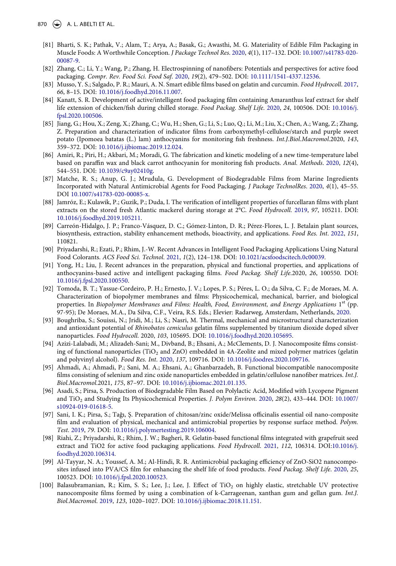- <span id="page-14-0"></span>[81] Bharti, S. K.; Pathak, V.; Alam, T.; Arya, A.; Basak, G.; Awasthi, M. G. Materiality of Edible Film Packaging in Muscle Foods: A Worthwhile Conception. *J Package Technol Res*. [2020,](#page-5-7) *4*(1), 117–132. DOI: [10.1007/s41783-020-](https://doi.org/10.1007/s41783-020-00087-9)  [00087-9.](https://doi.org/10.1007/s41783-020-00087-9)
- <span id="page-14-1"></span>[82] Zhang, C.; Li, Y.; Wang, P.; Zhang, H. Electrospinning of nanofibers: Potentials and perspectives for active food packaging. *Compr. Rev. Food Sci. Food Saf*. [2020](#page-5-8), *19*(2), 479–502. DOI: [10.1111/1541-4337.12536](https://doi.org/10.1111/1541-4337.12536).
- <span id="page-14-2"></span>[83] Musso, Y. S.; Salgado, P. R.; Mauri, A. N. Smart edible films based on gelatin and curcumin. *Food Hydrocoll*. [2017](#page-5-8), *66*, 8–15. DOI: [10.1016/j.foodhyd.2016.11.007](https://doi.org/10.1016/j.foodhyd.2016.11.007).
- <span id="page-14-3"></span>[84] Kanatt, S. R. Development of active/intelligent food packaging film containing Amaranthus leaf extract for shelf life extension of chicken/fish during chilled storage. *Food Packag. Shelf Life*. [2020,](#page-5-9) *24*, 100506. DOI: [10.1016/j.](https://doi.org/10.1016/j.fpsl.2020.100506)  [fpsl.2020.100506](https://doi.org/10.1016/j.fpsl.2020.100506).
- <span id="page-14-4"></span>[85] Jiang, G.; Hou, X.; Zeng, X.; Zhang, C.; Wu, H.; Shen, G.; Li, S.; Luo, Q.; Li, M.; Liu, X.; Chen, A.; Wang, Z.; Zhang, Z. Preparation and characterization of indicator films from carboxymethyl-cellulose/starch and purple sweet potato (Ipomoea batatas (L.) lam) anthocyanins for monitoring fish freshness. *Int.J.Biol.Macromol*.2020, *143*, 359–372. DOI: [10.1016/j.ijbiomac.2019.12.024.](https://doi.org/10.1016/j.ijbiomac.2019.12.024)
- <span id="page-14-5"></span>[86] Amiri, R.; Piri, H.; Akbari, M.; Moradi, G. The fabrication and kinetic modeling of a new time-temperature label based on paraffin wax and black carrot anthocyanin for monitoring fish products. *Anal. Methods*. [2020](#page-5-9), *12*(4), 544–551. DOI: [10.1039/c9ay02410g](https://doi.org/10.1039/c9ay02410g).
- <span id="page-14-6"></span>[87] Matche, R. S.; Anup, G. J.; Mrudula, G. Development of Biodegradable Films from Marine Ingredients Incorporated with Natural Antimicrobial Agents for Food Packaging. *J Package TechnolRes*. [2020](#page-5-9), *4*(1), 45–55. DOI [10.1007/s41783-020-00085-x.](https://doi.org/10.1007/s41783-020-00085-x)
- <span id="page-14-7"></span>[88] Jamróz, E.; Kulawik, P.; Guzik, P.; Duda, I. The verification of intelligent properties of furcellaran films with plant extracts on the stored fresh Atlantic mackerel during storage at 2°C. *Food Hydrocoll*. [2019](#page-5-10), *97*, 105211. DOI: [10.1016/j.foodhyd.2019.105211](https://doi.org/10.1016/j.foodhyd.2019.105211).
- <span id="page-14-16"></span>[89] Carreón-Hidalgo, J. P.; Franco-Vásquez, D. C.; Gómez-Linton, D. R.; Pérez-Flores, L. J. Betalain plant sources, biosynthesis, extraction, stability enhancement methods, bioactivity, and applications. *Food Res. Int*. [2022](#page-9-0), *151*, 110821.
- <span id="page-14-17"></span>[90] Priyadarshi, R.; Ezati, P.; Rhim, J.-W. Recent Advances in Intelligent Food Packaging Applications Using Natural Food Colorants. *ACS Food Sci. Technol*. [2021](#page-9-1), *1*(2), 124–138. DOI: [10.1021/acsfoodscitech.0c00039.](https://doi.org/10.1021/acsfoodscitech.0c00039)
- <span id="page-14-18"></span>[91] Yong, H.; Liu, J. Recent advances in the preparation, physical and functional properties, and applications of anthocyanins-based active and intelligent packaging films. *Food Packag. Shelf Life*.2020, *26*, 100550. DOI: [10.1016/j.fpsl.2020.100550.](https://doi.org/10.1016/j.fpsl.2020.100550)
- <span id="page-14-19"></span>[92] Tomoda, B. T.; Yassue-Cordeiro, P. H.; Ernesto, J. V.; Lopes, P. S.; Péres, L. O.; da Silva, C. F.; de Moraes, M. A. Characterization of biopolymer membranes and films: Physicochemical, mechanical, barrier, and biological properties. In *Biopolymer Membranes and Films: Health, Food, Environment, and Energy Applications* 1<sup>st</sup> (pp. 97-95); De Moraes, M.A., Da Silva, C.F., Veira, R.S. Eds.; Elevier: Radarweg, Amsterdam, Netherlands, [2020.](#page-9-2)
- <span id="page-14-8"></span>[93] Boughriba, S.; Souissi, N.; Jridi, M.; Li, S.; Nasri, M. Thermal, mechanical and microstructural characterization and antioxidant potential of *Rhinobatos cemiculus* gelatin films supplemented by titanium dioxide doped silver nanoparticles. *Food Hydrocoll*. 2020, *103*, 105695. DOI: [10.1016/j.foodhyd.2020.105695.](https://doi.org/10.1016/j.foodhyd.2020.105695)
- <span id="page-14-9"></span>[94] Azizi-Lalabadi, M.; Alizadeh-Sani; M., Divband, B.; Ehsani, A.; McClements, D. J. Nanocomposite films consisting of functional nanoparticles (TiO<sub>2</sub> and ZnO) embedded in 4A-Zeolite and mixed polymer matrices (gelatin and polyvinyl alcohol). *Food Res. Int*. [2020](#page-7-1), *137*, 109716. DOI: [10.1016/j.foodres.2020.109716](https://doi.org/10.1016/j.foodres.2020.109716).
- <span id="page-14-10"></span>[95] Ahmadi, A.; Ahmadi, P.; Sani, M. A.; Ehsani, A.; Ghanbarzadeh, B. Functional biocompatible nanocomposite films consisting of selenium and zinc oxide nanoparticles embedded in gelatin/cellulose nanofiber matrices. *Int.J. Biol.Macromol*.2021, *175*, 87–97. DOI: [10.1016/j.ijbiomac.2021.01.135.](https://doi.org/10.1016/j.ijbiomac.2021.01.135)
- <span id="page-14-11"></span>[96] Asadi, S.; Pirsa, S. Production of Biodegradable Film Based on Polylactic Acid, Modified with Lycopene Pigment and TiO2 and Studying Its Physicochemical Properties. *J. Polym Environ*. [2020,](#page-7-2) *28*(2), 433–444. DOI: [10.1007/](https://doi.org/10.1007/s10924-019-01618-5) [s10924-019-01618-5.](https://doi.org/10.1007/s10924-019-01618-5)
- <span id="page-14-12"></span>[97] Sani, I. K.; Pirsa, S.; Tağı, Ş. Preparation of chitosan/zinc oxide/Melissa officinalis essential oil nano-composite film and evaluation of physical, mechanical and antimicrobial properties by response surface method. *Polym. Test*. [2019](#page-7-3), *79*. DOI: [10.1016/j.polymertesting.2019.106004](https://doi.org/10.1016/j.polymertesting.2019.106004).
- <span id="page-14-13"></span>[98] Riahi, Z.; Priyadarshi, R.; Rhim, J. W.; Bagheri, R. Gelatin-based functional films integrated with grapefruit seed extract and TiO2 for active food packaging applications. *Food Hydrocoll*. [2021](#page-7-4), *112*, 106314. DOI:[10.1016/j.](https://doi.org/10.1016/j.foodhyd.2020.106314) [foodhyd.2020.106314.](https://doi.org/10.1016/j.foodhyd.2020.106314)
- <span id="page-14-14"></span>[99] Al-Tayyar, N. A.; Youssef, A. M.; Al-Hindi, R. R. Antimicrobial packaging efficiency of ZnO-SiO2 nanocomposites infused into PVA/CS film for enhancing the shelf life of food products. *Food Packag. Shelf Life*. [2020](#page-7-5), *25*, 100523. DOI: [10.1016/j.fpsl.2020.100523](https://doi.org/10.1016/j.fpsl.2020.100523).
- <span id="page-14-15"></span>[100] Balasubramanian, R.; Kim, S. S.; Lee, J.; Lee, J. Effect of TiO<sub>2</sub> on highly elastic, stretchable UV protective nanocomposite films formed by using a combination of k-Carrageenan, xanthan gum and gellan gum. *Int.J. Biol.Macromol*. [2019](#page-7-6), *123*, 1020–1027. DOI: [10.1016/j.ijbiomac.2018.11.151.](https://doi.org/10.1016/j.ijbiomac.2018.11.151)